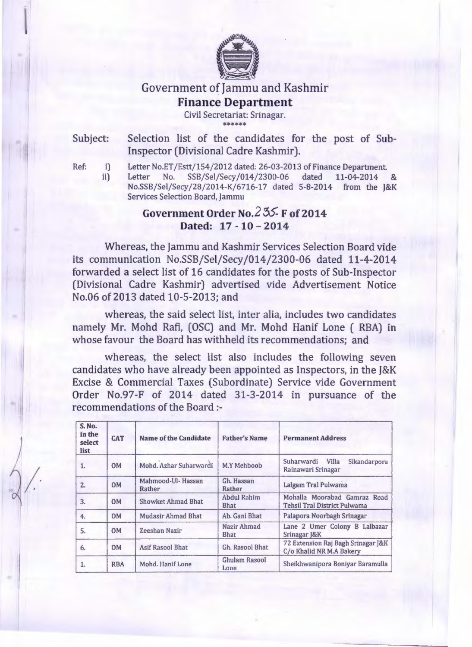

## Government of Jammu and Kashmir **Finance Department**

Civil Secretariat: Srinagar. \*\*\*\*\*\*\*\*\*\*\*\*

Subject:

ii)

Selection list of the candidates for the post of Sub-Inspector (Divisional Cadre Kashmir).

Ref: i)

 $\bigg\langle \bigg.$ 

Letter No.ET /Estt/154/2012 dated: 26-03-2013 of Finance Department. Letter No. SSB/Sel/Secy /014/2300-06 dated 11-04-2014 & No.SSB/Sel/Secy/28/2014-K/6716-17 dated 5-8-2014 from the J&K Services Selection Board, Jammu

## **Government Order** No.2 55- **F of2014 Dated: 17 - 10 - 2014**

Whereas, the Jammu and Kashmir Services Selection Board vide its communication No.SSB/Sel/Secy/014/2300-06 dated 11-4-2014 forwarded a select list of 16 candidates for the posts of Sub-Inspector (Divisional Cadre Kashmir) advertised vide Advertisement Notice No.06 of 2013 dated 10-5-2013; and

whereas, the said select list, inter alia, includes two candidates namely Mr. Mohd Rafi, (OSC) and Mr. Mohd Hanif Lone ( RBA) in whose favour the Board has withheld its recommendations; and

whereas, the select list also includes the following seven candidates who have already been appointed as Inspectors, in the J&K Excise & Commercial Taxes (Subordinate) Service vide Government Order No.97-F of 2014 dated 31-3-2014 in pursuance of the recommendations of the Board :-

| <b>S. No.</b><br>in the<br><b>CAT</b><br>select<br>list |            | <b>Name of the Candidate</b> | <b>Father's Name</b>              | <b>Permanent Address</b>                                            |  |  |
|---------------------------------------------------------|------------|------------------------------|-----------------------------------|---------------------------------------------------------------------|--|--|
| 1.                                                      | <b>OM</b>  | Mohd, Azhar Suharwardi       | M.Y Mehboob                       | Suharwardi Villa<br>Sikandarpora<br>Rainawari Srinagar              |  |  |
| 2.                                                      | <b>OM</b>  | Mahmood-Ul-Hassan<br>Rather  | Gh. Hassan<br>Rather              | Lalgam Tral Pulwama                                                 |  |  |
| 3.                                                      | <b>OM</b>  | Showket Ahmad Bhat           | <b>Abdul Rahim</b><br><b>Bhat</b> | Mohalla Moorabad Gamraz Road<br><b>Tehsil Tral District Pulwama</b> |  |  |
| 4.                                                      | <b>OM</b>  | <b>Mudasir Ahmad Bhat</b>    | Ab. Gani Bhat                     | Palapora Noorbagh Srinagar                                          |  |  |
| 5.                                                      | <b>OM</b>  | Zeeshan Nazir                | Nazir Ahmad<br><b>Bhat</b>        | Lane 2 Umer Colony B Lalbazar<br>Srinagar J&K                       |  |  |
| 6.                                                      | <b>OM</b>  | <b>Asif Rasool Bhat</b>      | Gh. Rasool Bhat                   | 72 Extension Raj Bagh Srinagar J&K<br>C/o Khalid NR M.A Bakery      |  |  |
| 1.                                                      | <b>RBA</b> | Mohd. Hanif Lone             | <b>Ghulam Rasool</b><br>Lone      | Sheikhwanipora Boniyar Baramulla                                    |  |  |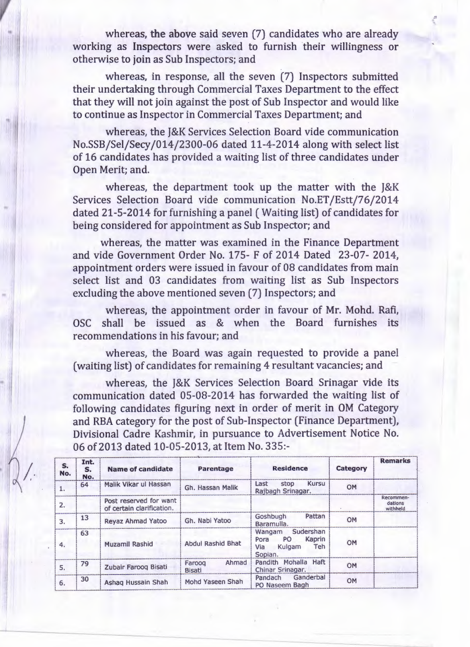whereas, the above said seven (7) candidates who are already working as Inspectors were asked to furnish their willingness or otherwise to join as Sub Inspectors; and

whereas, in response, all the seven (7) Inspectors submitted their undertaking through Commercial Taxes Department to the effect that they will not join against the post of Sub Inspector and would like to continue as Inspector in Commercial Taxes Department; and

whereas, the J&K Services Selection Board vide communication No.SSB/Sel/Secy/014/2300-06 dated 11-4-2014 along with select list of 16 candidates has provided a waiting list of three candidates under Open Merit; and.

whereas, the department took up the matter with the J&K Services Selection Board vide communication No.ET /Estt/76/2014 dated 21-5-2014 for furnishing a panel (Waiting list) of candidates for being considered for appointment as Sub Inspector; and

whereas, the matter was examined in the Finance Department and vide Government Order No. 175- F of 2014 Dated 23-07- 2014, appointment orders were issued in favour of 08 candidates from main select list and 03 candidates from waiting list as Sub Inspectors excluding the above mentioned seven (7) Inspectors; and

whereas, the appointment order in favour of Mr. Mohd. Rafi, OSC shall be issued as & when the Board furnishes its recommendations in his favour; and

whereas, the Board was again requested to provide a panel (waiting list) of candidates for remaining 4 resultant vacancies; and

whereas, the J&K Services Selection Board Srinagar vide its communication dated 05-08-2014 has forwarded the waiting list of following candidates figuring next in order of merit in OM Category and RBA category for the post of Sub-Inspector (Finance Department), Divisional Cadre Kashmir, in pursuance to Advertisement Notice No. 06of2013 dated 10-05-2013, at Item No. 335:-

| S.<br>No. | Int.<br>S.<br>No. | <b>Name of candidate</b>                            | Parentage                        | <b>Residence</b>                                                                             | Category  | <b>Remarks</b>                   |
|-----------|-------------------|-----------------------------------------------------|----------------------------------|----------------------------------------------------------------------------------------------|-----------|----------------------------------|
|           | 64                | Malik Vikar ul Hassan                               | Gh. Hassan Malik                 | <b>Kursu</b><br>Last<br>stop<br>Rajbagh Srinagar.                                            | OM        |                                  |
| 2.        |                   | Post reserved for want<br>of certain clarification. |                                  |                                                                                              |           | Recommen-<br>dations<br>withheld |
| 3.        | 13                | <b>Revaz Ahmad Yatoo</b>                            | Gh. Nabi Yatoo                   | Pattan<br>Goshbugh<br>Baramulla.                                                             | <b>OM</b> |                                  |
| 4.        | 63                | Muzamil Rashid                                      | <b>Abdul Rashid Bhat</b>         | Sudershan<br>Wangam<br>Kaprin<br><b>PO</b><br>Pora<br>Kulgam<br><b>Teh</b><br>Via<br>Sopian. | OM        |                                  |
| 5.        | 79                | Zubair Farooq Bisati                                | Ahmad<br>Faroog<br><b>Bisati</b> | Pandith Mohalla Haft<br>Chinar Srinagar.                                                     | OM        |                                  |
| 6.        | 30                | Ashaq Hussain Shah                                  | Mohd Yaseen Shah                 | Ganderbal<br>Pandach<br>PO Naseem Bagh                                                       | <b>OM</b> |                                  |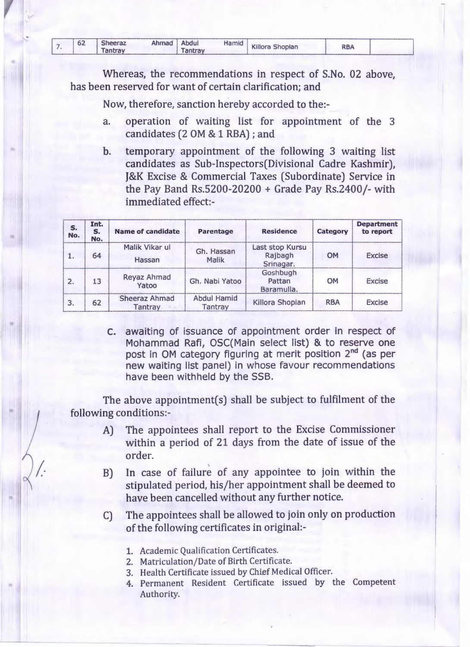|  |  |  | 62 | <b>Sheeraz</b><br>antray | Ahmad | Abdul<br>antrav | Hamid | Killora Shopian | RBA |  |
|--|--|--|----|--------------------------|-------|-----------------|-------|-----------------|-----|--|
|--|--|--|----|--------------------------|-------|-----------------|-------|-----------------|-----|--|

Whereas, the recommendations in respect of S.No. 02 above, has been reserved for want of certain clarification; and

Now, therefore, sanction hereby accorded to the:-

- operation of waiting list for appointment of the 3 a. candidates (2 OM & 1 RBA); and
- temporary appointment of the following 3 waiting list  $\mathbf{b}$ . candidates as Sub-Inspectors(Divisional Cadre Kashmir), J&K Excise & Commercial Taxes (Subordinate) Service in the Pay Band Rs.5200-20200 + Grade Pay Rs.2400/- with immediated effect:-

| s.<br>No. | Int.<br>S.<br>No. | <b>Name of candidate</b> | Parentage                     | <b>Residence</b>                        | Category   | <b>Department</b><br>to report |  |
|-----------|-------------------|--------------------------|-------------------------------|-----------------------------------------|------------|--------------------------------|--|
|           | 64                | Malik Vikar ul<br>Hassan | Gh. Hassan<br>Malik           | Last stop Kursu<br>Rajbagh<br>Srinagar. | <b>OM</b>  | <b>Excise</b>                  |  |
| 2.        | 13                | Reyaz Ahmad<br>Yatoo     | Gh. Nabi Yatoo                | Goshbugh<br>Pattan<br>Baramulla.        | OM         | <b>Excise</b>                  |  |
| 3.        | 62                | Sheeraz Ahmad<br>Tantrav | <b>Abdul Hamid</b><br>Tantray | Killora Shopian                         | <b>RBA</b> | <b>Excise</b>                  |  |

C. awaiting of issuance of appointment order in respect of Mohammad Rafi, OSC(Main select list) & to reserve one post in OM category figuring at merit position 2<sup>nd</sup> (as per new waiting list panel) in whose favour recommendations have been withheld by the SSB.

The above appointment(s) shall be subject to fulfilment of the following conditions:-

- The appointees shall report to the Excise Commissioner  $A$ within a period of 21 days from the date of issue of the order.
- In case of failure of any appointee to join within the  $B)$ stipulated period, his/her appointment shall be deemed to have been cancelled without any further notice.
- The appointees shall be allowed to join only on production  $\mathsf{C}$ of the following certificates in original:-
	- 1. Academic Qualification Certificates.
	- 2. Matriculation/Date of Birth Certificate.
	- 3. Health Certificate issued by Chief Medical Officer.
	- 4. Permanent Resident Certificate issued by the Competent Authority.